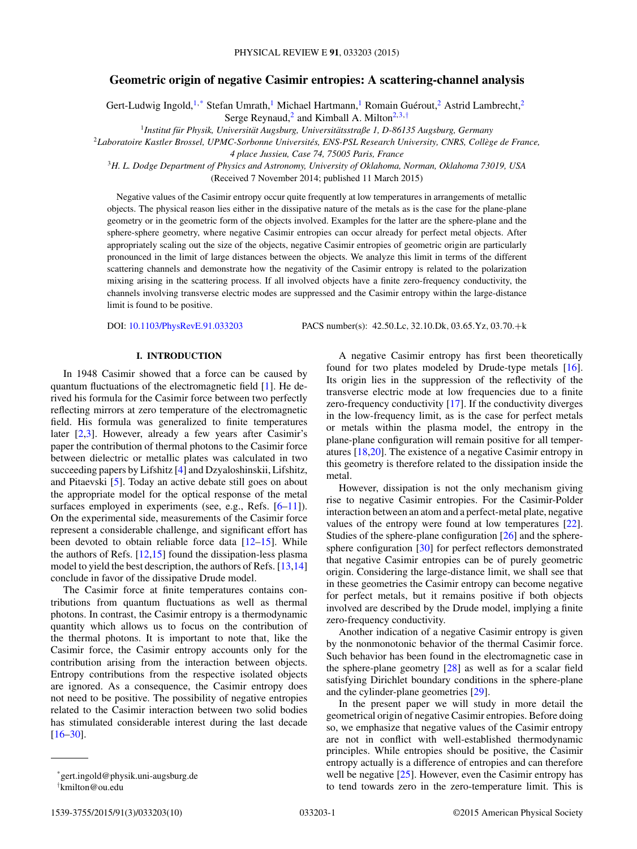# **Geometric origin of negative Casimir entropies: A scattering-channel analysis**

Gert-Ludwig Ingold,<sup>1,\*</sup> Stefan Umrath,<sup>1</sup> Michael Hartmann,<sup>1</sup> Romain Guérout,<sup>2</sup> Astrid Lambrecht,<sup>2</sup> Serge Reynaud,<sup>2</sup> and Kimball A. Milton<sup>2,3,†</sup>

<sup>1</sup> Institut für Physik, Universität Augsburg, Universitätsstraße 1, D-86135 Augsburg, Germany

<sup>2</sup>*Laboratoire Kastler Brossel, UPMC-Sorbonne Universites, ENS-PSL Research University, CNRS, Coll ´ ege de France, `*

*4 place Jussieu, Case 74, 75005 Paris, France*

<sup>3</sup>*H. L. Dodge Department of Physics and Astronomy, University of Oklahoma, Norman, Oklahoma 73019, USA* (Received 7 November 2014; published 11 March 2015)

Negative values of the Casimir entropy occur quite frequently at low temperatures in arrangements of metallic objects. The physical reason lies either in the dissipative nature of the metals as is the case for the plane-plane geometry or in the geometric form of the objects involved. Examples for the latter are the sphere-plane and the sphere-sphere geometry, where negative Casimir entropies can occur already for perfect metal objects. After appropriately scaling out the size of the objects, negative Casimir entropies of geometric origin are particularly pronounced in the limit of large distances between the objects. We analyze this limit in terms of the different scattering channels and demonstrate how the negativity of the Casimir entropy is related to the polarization mixing arising in the scattering process. If all involved objects have a finite zero-frequency conductivity, the channels involving transverse electric modes are suppressed and the Casimir entropy within the large-distance limit is found to be positive.

DOI: [10.1103/PhysRevE.91.033203](http://dx.doi.org/10.1103/PhysRevE.91.033203) PACS number(s): 42*.*50*.*Lc*,* 32*.*10*.*Dk*,* 03*.*65*.*Yz*,* 03*.*70*.*+k

### **I. INTRODUCTION**

In 1948 Casimir showed that a force can be caused by quantum fluctuations of the electromagnetic field [\[1\]](#page-9-0). He derived his formula for the Casimir force between two perfectly reflecting mirrors at zero temperature of the electromagnetic field. His formula was generalized to finite temperatures later  $[2,3]$ . However, already a few years after Casimir's paper the contribution of thermal photons to the Casimir force between dielectric or metallic plates was calculated in two succeeding papers by Lifshitz [\[4\]](#page-9-0) and Dzyaloshinskii, Lifshitz, and Pitaevski [\[5\]](#page-9-0). Today an active debate still goes on about the appropriate model for the optical response of the metal surfaces employed in experiments (see, e.g., Refs. [\[6–11\]](#page-9-0)). On the experimental side, measurements of the Casimir force represent a considerable challenge, and significant effort has been devoted to obtain reliable force data  $[12-15]$ . While the authors of Refs.  $[12,15]$  found the dissipation-less plasma model to yield the best description, the authors of Refs. [\[13,14\]](#page-9-0) conclude in favor of the dissipative Drude model.

The Casimir force at finite temperatures contains contributions from quantum fluctuations as well as thermal photons. In contrast, the Casimir entropy is a thermodynamic quantity which allows us to focus on the contribution of the thermal photons. It is important to note that, like the Casimir force, the Casimir entropy accounts only for the contribution arising from the interaction between objects. Entropy contributions from the respective isolated objects are ignored. As a consequence, the Casimir entropy does not need to be positive. The possibility of negative entropies related to the Casimir interaction between two solid bodies has stimulated considerable interest during the last decade [\[16–30\]](#page-9-0).

† kmilton@ou.edu

A negative Casimir entropy has first been theoretically found for two plates modeled by Drude-type metals [\[16\]](#page-9-0). Its origin lies in the suppression of the reflectivity of the transverse electric mode at low frequencies due to a finite zero-frequency conductivity [\[17\]](#page-9-0). If the conductivity diverges in the low-frequency limit, as is the case for perfect metals or metals within the plasma model, the entropy in the plane-plane configuration will remain positive for all temperatures [\[18,20\]](#page-9-0). The existence of a negative Casimir entropy in this geometry is therefore related to the dissipation inside the metal.

However, dissipation is not the only mechanism giving rise to negative Casimir entropies. For the Casimir-Polder interaction between an atom and a perfect-metal plate, negative values of the entropy were found at low temperatures [\[22\]](#page-9-0). Studies of the sphere-plane configuration [\[26\]](#page-9-0) and the sphere-sphere configuration [\[30\]](#page-9-0) for perfect reflectors demonstrated that negative Casimir entropies can be of purely geometric origin. Considering the large-distance limit, we shall see that in these geometries the Casimir entropy can become negative for perfect metals, but it remains positive if both objects involved are described by the Drude model, implying a finite zero-frequency conductivity.

Another indication of a negative Casimir entropy is given by the nonmonotonic behavior of the thermal Casimir force. Such behavior has been found in the electromagnetic case in the sphere-plane geometry [\[28\]](#page-9-0) as well as for a scalar field satisfying Dirichlet boundary conditions in the sphere-plane and the cylinder-plane geometries [\[29\]](#page-9-0).

In the present paper we will study in more detail the geometrical origin of negative Casimir entropies. Before doing so, we emphasize that negative values of the Casimir entropy are not in conflict with well-established thermodynamic principles. While entropies should be positive, the Casimir entropy actually is a difference of entropies and can therefore well be negative  $[25]$ . However, even the Casimir entropy has to tend towards zero in the zero-temperature limit. This is

<sup>\*</sup>gert.ingold@physik.uni-augsburg.de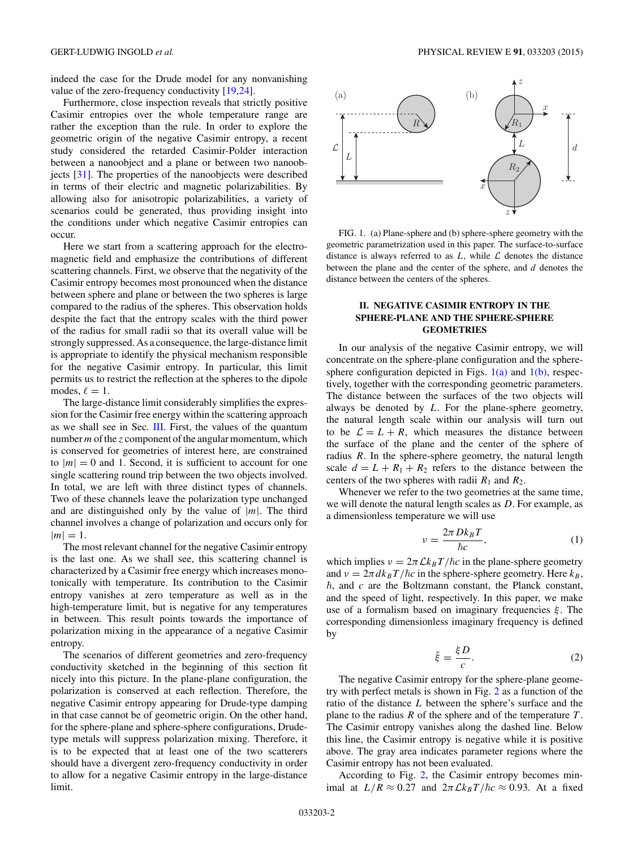<span id="page-1-0"></span>indeed the case for the Drude model for any nonvanishing value of the zero-frequency conductivity [\[19,24\]](#page-9-0).

Furthermore, close inspection reveals that strictly positive Casimir entropies over the whole temperature range are rather the exception than the rule. In order to explore the geometric origin of the negative Casimir entropy, a recent study considered the retarded Casimir-Polder interaction between a nanoobject and a plane or between two nanoobjects [\[31\]](#page-9-0). The properties of the nanoobjects were described in terms of their electric and magnetic polarizabilities. By allowing also for anisotropic polarizabilities, a variety of scenarios could be generated, thus providing insight into the conditions under which negative Casimir entropies can occur.

Here we start from a scattering approach for the electromagnetic field and emphasize the contributions of different scattering channels. First, we observe that the negativity of the Casimir entropy becomes most pronounced when the distance between sphere and plane or between the two spheres is large compared to the radius of the spheres. This observation holds despite the fact that the entropy scales with the third power of the radius for small radii so that its overall value will be strongly suppressed. As a consequence, the large-distance limit is appropriate to identify the physical mechanism responsible for the negative Casimir entropy. In particular, this limit permits us to restrict the reflection at the spheres to the dipole modes,  $\ell = 1$ .

The large-distance limit considerably simplifies the expression for the Casimir free energy within the scattering approach as we shall see in Sec. [III.](#page-3-0) First, the values of the quantum number*m*of the *z* component of the angular momentum, which is conserved for geometries of interest here, are constrained to  $|m| = 0$  and 1. Second, it is sufficient to account for one single scattering round trip between the two objects involved. In total, we are left with three distinct types of channels. Two of these channels leave the polarization type unchanged and are distinguished only by the value of  $|m|$ . The third channel involves a change of polarization and occurs only for  $|m| = 1.$ 

The most relevant channel for the negative Casimir entropy is the last one. As we shall see, this scattering channel is characterized by a Casimir free energy which increases monotonically with temperature. Its contribution to the Casimir entropy vanishes at zero temperature as well as in the high-temperature limit, but is negative for any temperatures in between. This result points towards the importance of polarization mixing in the appearance of a negative Casimir entropy.

The scenarios of different geometries and zero-frequency conductivity sketched in the beginning of this section fit nicely into this picture. In the plane-plane configuration, the polarization is conserved at each reflection. Therefore, the negative Casimir entropy appearing for Drude-type damping in that case cannot be of geometric origin. On the other hand, for the sphere-plane and sphere-sphere configurations, Drudetype metals will suppress polarization mixing. Therefore, it is to be expected that at least one of the two scatterers should have a divergent zero-frequency conductivity in order to allow for a negative Casimir entropy in the large-distance limit.



FIG. 1. (a) Plane-sphere and (b) sphere-sphere geometry with the geometric parametrization used in this paper. The surface-to-surface distance is always referred to as  $L$ , while  $\mathcal L$  denotes the distance between the plane and the center of the sphere, and *d* denotes the distance between the centers of the spheres.

## **II. NEGATIVE CASIMIR ENTROPY IN THE SPHERE-PLANE AND THE SPHERE-SPHERE GEOMETRIES**

In our analysis of the negative Casimir entropy, we will concentrate on the sphere-plane configuration and the spheresphere configuration depicted in Figs.  $1(a)$  and  $1(b)$ , respectively, together with the corresponding geometric parameters. The distance between the surfaces of the two objects will always be denoted by *L*. For the plane-sphere geometry, the natural length scale within our analysis will turn out to be  $\mathcal{L} = L + R$ , which measures the distance between the surface of the plane and the center of the sphere of radius *R*. In the sphere-sphere geometry, the natural length scale  $d = L + R_1 + R_2$  refers to the distance between the centers of the two spheres with radii  $R_1$  and  $R_2$ .

Whenever we refer to the two geometries at the same time, we will denote the natural length scales as *D*. For example, as a dimensionless temperature we will use

$$
v = \frac{2\pi Dk_B T}{\hbar c},\tag{1}
$$

which implies  $v = 2\pi Ck_BT/\hbar c$  in the plane-sphere geometry and  $\nu = 2\pi d k_B T / \hbar c$  in the sphere-sphere geometry. Here  $k_B$ ,  $\hbar$ , and  $c$  are the Boltzmann constant, the Planck constant, and the speed of light, respectively. In this paper, we make use of a formalism based on imaginary frequencies *ξ* . The corresponding dimensionless imaginary frequency is defined by

$$
\tilde{\xi} = \frac{\xi D}{c}.\tag{2}
$$

The negative Casimir entropy for the sphere-plane geometry with perfect metals is shown in Fig. [2](#page-2-0) as a function of the ratio of the distance *L* between the sphere's surface and the plane to the radius *R* of the sphere and of the temperature *T* . The Casimir entropy vanishes along the dashed line. Below this line, the Casimir entropy is negative while it is positive above. The gray area indicates parameter regions where the Casimir entropy has not been evaluated.

According to Fig. [2,](#page-2-0) the Casimir entropy becomes minimal at  $L/R \approx 0.27$  and  $2\pi C k_B T/\hbar c \approx 0.93$ . At a fixed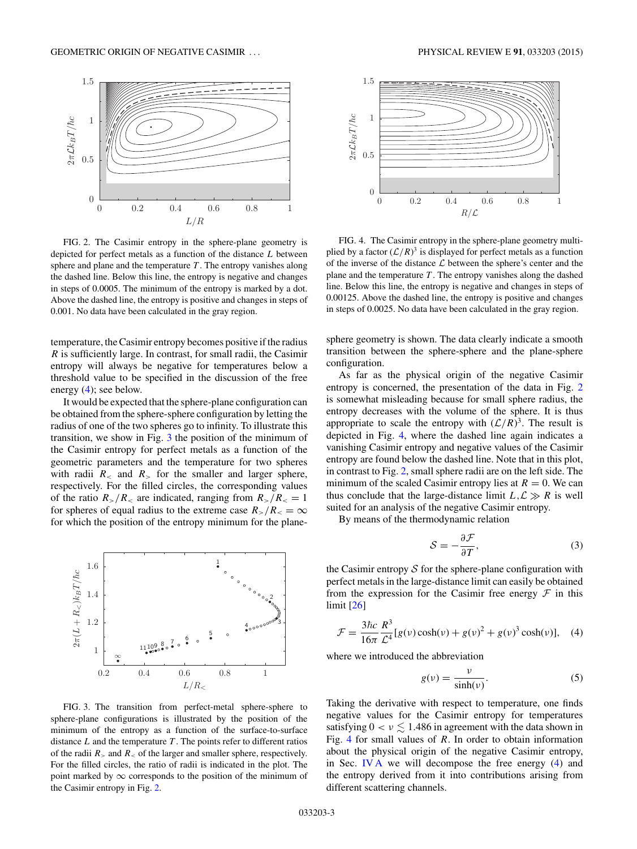<span id="page-2-0"></span>

FIG. 2. The Casimir entropy in the sphere-plane geometry is depicted for perfect metals as a function of the distance *L* between sphere and plane and the temperature *T* . The entropy vanishes along the dashed line. Below this line, the entropy is negative and changes in steps of 0.0005. The minimum of the entropy is marked by a dot. Above the dashed line, the entropy is positive and changes in steps of 0.001. No data have been calculated in the gray region.

temperature, the Casimir entropy becomes positive if the radius *R* is sufficiently large. In contrast, for small radii, the Casimir entropy will always be negative for temperatures below a threshold value to be specified in the discussion of the free energy (4); see below.

It would be expected that the sphere-plane configuration can be obtained from the sphere-sphere configuration by letting the radius of one of the two spheres go to infinity. To illustrate this transition, we show in Fig. 3 the position of the minimum of the Casimir entropy for perfect metals as a function of the geometric parameters and the temperature for two spheres with radii  $R_$  and  $R_$  for the smaller and larger sphere, respectively. For the filled circles, the corresponding values of the ratio  $R_{>}/R_{<}$  are indicated, ranging from  $R_{>}/R_{<}=1$ for spheres of equal radius to the extreme case  $R_>/R_ \sim = \infty$ for which the position of the entropy minimum for the plane-



FIG. 3. The transition from perfect-metal sphere-sphere to sphere-plane configurations is illustrated by the position of the minimum of the entropy as a function of the surface-to-surface distance *L* and the temperature *T* . The points refer to different ratios of the radii  $R_{\geq}$  and  $R_{\leq}$  of the larger and smaller sphere, respectively. For the filled circles, the ratio of radii is indicated in the plot. The point marked by  $\infty$  corresponds to the position of the minimum of the Casimir entropy in Fig. 2.



FIG. 4. The Casimir entropy in the sphere-plane geometry multiplied by a factor  $(\mathcal{L}/R)^3$  is displayed for perfect metals as a function of the inverse of the distance  $\mathcal L$  between the sphere's center and the plane and the temperature *T* . The entropy vanishes along the dashed line. Below this line, the entropy is negative and changes in steps of 0.00125. Above the dashed line, the entropy is positive and changes in steps of 0.0025. No data have been calculated in the gray region.

sphere geometry is shown. The data clearly indicate a smooth transition between the sphere-sphere and the plane-sphere configuration.

As far as the physical origin of the negative Casimir entropy is concerned, the presentation of the data in Fig. 2 is somewhat misleading because for small sphere radius, the entropy decreases with the volume of the sphere. It is thus appropriate to scale the entropy with  $(L/R)^3$ . The result is depicted in Fig. 4, where the dashed line again indicates a vanishing Casimir entropy and negative values of the Casimir entropy are found below the dashed line. Note that in this plot, in contrast to Fig. 2, small sphere radii are on the left side. The minimum of the scaled Casimir entropy lies at  $R = 0$ . We can thus conclude that the large-distance limit  $L, L \gg R$  is well suited for an analysis of the negative Casimir entropy.

By means of the thermodynamic relation

$$
S = -\frac{\partial \mathcal{F}}{\partial T},\tag{3}
$$

the Casimir entropy  $S$  for the sphere-plane configuration with perfect metals in the large-distance limit can easily be obtained from the expression for the Casimir free energy  $\mathcal F$  in this limit [\[26\]](#page-9-0)

$$
\mathcal{F} = \frac{3\hbar c}{16\pi} \frac{R^3}{\mathcal{L}^4} [g(v)\cosh(v) + g(v)^2 + g(v)^3 \cosh(v)], \quad (4)
$$

where we introduced the abbreviation

$$
g(v) = \frac{v}{\sinh(v)}.\tag{5}
$$

Taking the derivative with respect to temperature, one finds negative values for the Casimir entropy for temperatures satisfying  $0 < v \lesssim 1.486$  in agreement with the data shown in Fig. 4 for small values of *R*. In order to obtain information about the physical origin of the negative Casimir entropy, in Sec. [IV A](#page-4-0) we will decompose the free energy (4) and the entropy derived from it into contributions arising from different scattering channels.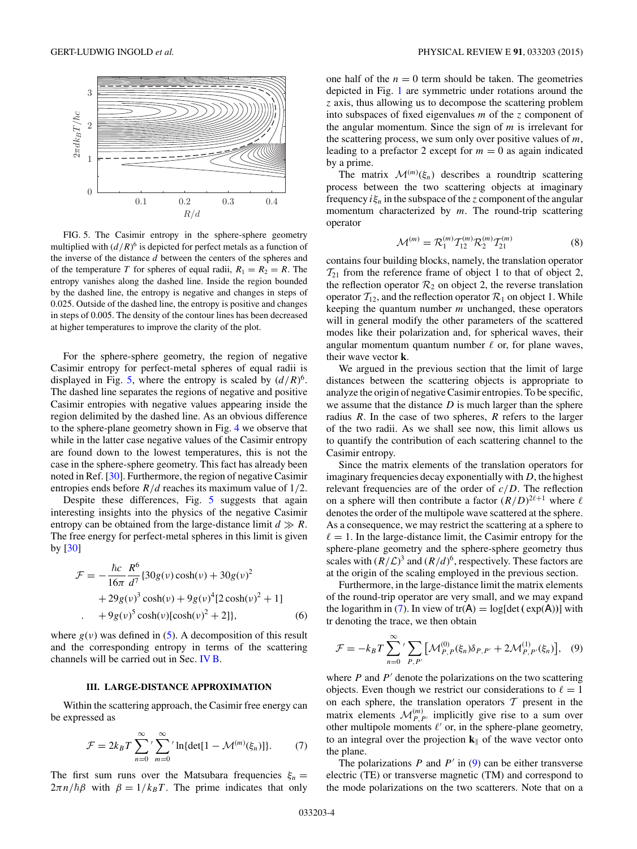<span id="page-3-0"></span>

FIG. 5. The Casimir entropy in the sphere-sphere geometry multiplied with  $(d/R)^6$  is depicted for perfect metals as a function of the inverse of the distance *d* between the centers of the spheres and of the temperature *T* for spheres of equal radii,  $R_1 = R_2 = R$ . The entropy vanishes along the dashed line. Inside the region bounded by the dashed line, the entropy is negative and changes in steps of 0.025. Outside of the dashed line, the entropy is positive and changes in steps of 0.005. The density of the contour lines has been decreased at higher temperatures to improve the clarity of the plot.

For the sphere-sphere geometry, the region of negative Casimir entropy for perfect-metal spheres of equal radii is displayed in Fig. 5, where the entropy is scaled by  $(d/R)^6$ . The dashed line separates the regions of negative and positive Casimir entropies with negative values appearing inside the region delimited by the dashed line. As an obvious difference to the sphere-plane geometry shown in Fig. [4](#page-2-0) we observe that while in the latter case negative values of the Casimir entropy are found down to the lowest temperatures, this is not the case in the sphere-sphere geometry. This fact has already been noted in Ref. [\[30\]](#page-9-0). Furthermore, the region of negative Casimir entropies ends before *R/d* reaches its maximum value of 1*/*2.

Despite these differences, Fig. 5 suggests that again interesting insights into the physics of the negative Casimir entropy can be obtained from the large-distance limit  $d \gg R$ . The free energy for perfect-metal spheres in this limit is given by  $\lceil 30 \rceil$ 

$$
\mathcal{F} = -\frac{\hbar c}{16\pi} \frac{R^6}{d^7} \{ 30g(v)\cosh(v) + 30g(v)^2 \n+ 29g(v)^3 \cosh(v) + 9g(v)^4 [2\cosh(v)^2 + 1] \n+ 9g(v)^5 \cosh(v)[\cosh(v)^2 + 2]\},
$$
\n(6)

where  $g(v)$  was defined in [\(5\)](#page-2-0). A decomposition of this result and the corresponding entropy in terms of the scattering channels will be carried out in Sec. [IV B.](#page-5-0)

#### **III. LARGE-DISTANCE APPROXIMATION**

Within the scattering approach, the Casimir free energy can be expressed as

$$
\mathcal{F} = 2k_B T \sum_{n=0}^{\infty} \sum_{m=0}^{\infty} \ln\{\det[1 - \mathcal{M}^{(m)}(\xi_n)]\}.
$$
 (7)

The first sum runs over the Matsubara frequencies  $\xi_n =$  $2\pi n/\hbar\beta$  with  $\beta = 1/k_B T$ . The prime indicates that only

one half of the  $n = 0$  term should be taken. The geometries depicted in Fig. [1](#page-1-0) are symmetric under rotations around the *z* axis, thus allowing us to decompose the scattering problem into subspaces of fixed eigenvalues *m* of the *z* component of the angular momentum. Since the sign of *m* is irrelevant for the scattering process, we sum only over positive values of *m*, leading to a prefactor 2 except for  $m = 0$  as again indicated by a prime.

The matrix  $\mathcal{M}^{(m)}(\xi_n)$  describes a roundtrip scattering process between the two scattering objects at imaginary frequency  $i\xi_n$  in the subspace of the *z* component of the angular momentum characterized by *m*. The round-trip scattering operator

$$
\mathcal{M}^{(m)} = \mathcal{R}_1^{(m)} \mathcal{T}_{12}^{(m)} \mathcal{R}_2^{(m)} \mathcal{T}_{21}^{(m)}
$$
(8)

contains four building blocks, namely, the translation operator  $\mathcal{T}_{21}$  from the reference frame of object 1 to that of object 2, the reflection operator  $\mathcal{R}_2$  on object 2, the reverse translation operator  $T_{12}$ , and the reflection operator  $\mathcal{R}_1$  on object 1. While keeping the quantum number *m* unchanged, these operators will in general modify the other parameters of the scattered modes like their polarization and, for spherical waves, their angular momentum quantum number  $\ell$  or, for plane waves, their wave vector **k**.

We argued in the previous section that the limit of large distances between the scattering objects is appropriate to analyze the origin of negative Casimir entropies. To be specific, we assume that the distance *D* is much larger than the sphere radius *R*. In the case of two spheres, *R* refers to the larger of the two radii. As we shall see now, this limit allows us to quantify the contribution of each scattering channel to the Casimir entropy.

Since the matrix elements of the translation operators for imaginary frequencies decay exponentially with *D*, the highest relevant frequencies are of the order of *c/D*. The reflection on a sphere will then contribute a factor  $(R/D)^{2\ell+1}$  where  $\ell$ denotes the order of the multipole wave scattered at the sphere. As a consequence, we may restrict the scattering at a sphere to  $\ell = 1$ . In the large-distance limit, the Casimir entropy for the sphere-plane geometry and the sphere-sphere geometry thus scales with  $(R/L)^3$  and  $(R/d)^6$ , respectively. These factors are at the origin of the scaling employed in the previous section.

Furthermore, in the large-distance limit the matrix elements of the round-trip operator are very small, and we may expand the logarithm in (7). In view of  $tr(A) = log[det (exp(A))]$  with tr denoting the trace, we then obtain

$$
\mathcal{F} = -k_B T \sum_{n=0}^{\infty} \sum_{P,P'} \left[ \mathcal{M}_{P,P}^{(0)}(\xi_n) \delta_{P,P'} + 2 \mathcal{M}_{P,P'}^{(1)}(\xi_n) \right], \quad (9)
$$

where  $P$  and  $P'$  denote the polarizations on the two scattering objects. Even though we restrict our considerations to  $\ell = 1$ on each sphere, the translation operators  $T$  present in the matrix elements  $\mathcal{M}_{P,P'}^{(m)}$  implicitly give rise to a sum over other multipole moments  $\ell'$  or, in the sphere-plane geometry, to an integral over the projection  $\mathbf{k}_{\parallel}$  of the wave vector onto the plane.

The polarizations  $P$  and  $P'$  in (9) can be either transverse electric (TE) or transverse magnetic (TM) and correspond to the mode polarizations on the two scatterers. Note that on a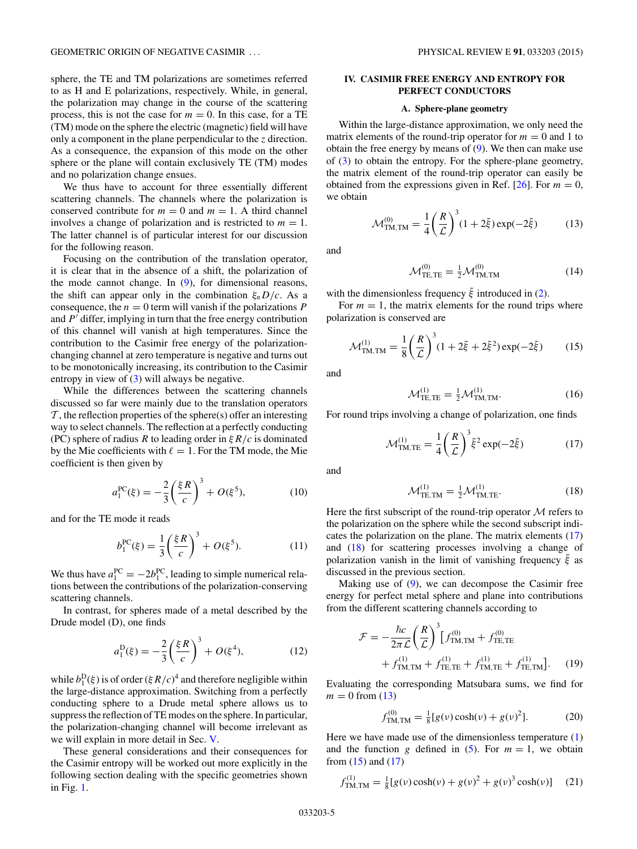<span id="page-4-0"></span>sphere, the TE and TM polarizations are sometimes referred to as H and E polarizations, respectively. While, in general, the polarization may change in the course of the scattering process, this is not the case for  $m = 0$ . In this case, for a TE (TM) mode on the sphere the electric (magnetic) field will have only a component in the plane perpendicular to the *z* direction. As a consequence, the expansion of this mode on the other sphere or the plane will contain exclusively TE (TM) modes and no polarization change ensues.

We thus have to account for three essentially different scattering channels. The channels where the polarization is conserved contribute for  $m = 0$  and  $m = 1$ . A third channel involves a change of polarization and is restricted to  $m = 1$ . The latter channel is of particular interest for our discussion for the following reason.

Focusing on the contribution of the translation operator, it is clear that in the absence of a shift, the polarization of the mode cannot change. In [\(9\)](#page-3-0), for dimensional reasons, the shift can appear only in the combination  $\xi_nD/c$ . As a consequence, the  $n = 0$  term will vanish if the polarizations  $P$ and *P'* differ, implying in turn that the free energy contribution of this channel will vanish at high temperatures. Since the contribution to the Casimir free energy of the polarizationchanging channel at zero temperature is negative and turns out to be monotonically increasing, its contribution to the Casimir entropy in view of [\(3\)](#page-2-0) will always be negative.

While the differences between the scattering channels discussed so far were mainly due to the translation operators  $\mathcal T$ , the reflection properties of the sphere(s) offer an interesting way to select channels. The reflection at a perfectly conducting (PC) sphere of radius *R* to leading order in *ξR/c* is dominated by the Mie coefficients with  $\ell = 1$ . For the TM mode, the Mie coefficient is then given by

$$
a_1^{PC}(\xi) = -\frac{2}{3} \left(\frac{\xi R}{c}\right)^3 + O(\xi^5),\tag{10}
$$

and for the TE mode it reads

$$
b_1^{PC}(\xi) = \frac{1}{3} \left(\frac{\xi R}{c}\right)^3 + O(\xi^5). \tag{11}
$$

We thus have  $a_1^{PC} = -2b_1^{PC}$ , leading to simple numerical relations between the contributions of the polarization-conserving scattering channels.

In contrast, for spheres made of a metal described by the Drude model (D), one finds

$$
a_1^D(\xi) = -\frac{2}{3} \left(\frac{\xi R}{c}\right)^3 + O(\xi^4),\tag{12}
$$

while  $b_1^D(\xi)$  is of order ( $\xi R/c$ <sup>4</sup> and therefore negligible within the large-distance approximation. Switching from a perfectly conducting sphere to a Drude metal sphere allows us to suppress the reflection of TE modes on the sphere. In particular, the polarization-changing channel will become irrelevant as we will explain in more detail in Sec. [V.](#page-8-0)

These general considerations and their consequences for the Casimir entropy will be worked out more explicitly in the following section dealing with the specific geometries shown in Fig. [1.](#page-1-0)

## **IV. CASIMIR FREE ENERGY AND ENTROPY FOR PERFECT CONDUCTORS**

### **A. Sphere-plane geometry**

Within the large-distance approximation, we only need the matrix elements of the round-trip operator for  $m = 0$  and 1 to obtain the free energy by means of  $(9)$ . We then can make use of [\(3\)](#page-2-0) to obtain the entropy. For the sphere-plane geometry, the matrix element of the round-trip operator can easily be obtained from the expressions given in Ref.  $[26]$ . For  $m = 0$ , we obtain

$$
\mathcal{M}_{\text{TM,TM}}^{(0)} = \frac{1}{4} \left( \frac{R}{\mathcal{L}} \right)^3 (1 + 2\tilde{\xi}) \exp(-2\tilde{\xi}) \tag{13}
$$

and

$$
\mathcal{M}_{\text{TE,TE}}^{(0)} = \frac{1}{2} \mathcal{M}_{\text{TM,TM}}^{(0)} \tag{14}
$$

with the dimensionless frequency  $\tilde{\xi}$  introduced in [\(2\)](#page-1-0).

For  $m = 1$ , the matrix elements for the round trips where polarization is conserved are

$$
\mathcal{M}_{\text{TM,TM}}^{(1)} = \frac{1}{8} \left( \frac{R}{\mathcal{L}} \right)^3 (1 + 2\tilde{\xi} + 2\tilde{\xi}^2) \exp(-2\tilde{\xi}) \tag{15}
$$

and

$$
\mathcal{M}_{\text{TE,TE}}^{(1)} = \frac{1}{2} \mathcal{M}_{\text{TM,TM}}^{(1)}.
$$
 (16)

For round trips involving a change of polarization, one finds

$$
\mathcal{M}_{\text{TM,TE}}^{(1)} = \frac{1}{4} \left(\frac{R}{\mathcal{L}}\right)^3 \tilde{\xi}^2 \exp(-2\tilde{\xi}) \tag{17}
$$

and

$$
\mathcal{M}_{\text{TE,TM}}^{(1)} = \frac{1}{2} \mathcal{M}_{\text{TM,TE}}^{(1)}.
$$
 (18)

Here the first subscript of the round-trip operator  $M$  refers to the polarization on the sphere while the second subscript indicates the polarization on the plane. The matrix elements (17) and (18) for scattering processes involving a change of polarization vanish in the limit of vanishing frequency  $\tilde{\xi}$  as discussed in the previous section.

Making use of  $(9)$ , we can decompose the Casimir free energy for perfect metal sphere and plane into contributions from the different scattering channels according to

$$
\mathcal{F} = -\frac{\hbar c}{2\pi \mathcal{L}} \left(\frac{R}{\mathcal{L}}\right)^3 \left[f_{\text{TM,TM}}^{(0)} + f_{\text{TE,TE}}^{(0)} + f_{\text{TM,TM}}^{(1)} + f_{\text{TE,TE}}^{(1)} + f_{\text{TM,TE}}^{(1)} + f_{\text{TE,TM}}^{(1)}\right].
$$
 (19)

Evaluating the corresponding Matsubara sums, we find for  $m = 0$  from (13)

$$
f_{\text{TM,TM}}^{(0)} = \frac{1}{8} [g(\nu)\cosh(\nu) + g(\nu)^2].
$$
 (20)

Here we have made use of the dimensionless temperature [\(1\)](#page-1-0) and the function *g* defined in [\(5\)](#page-2-0). For  $m = 1$ , we obtain from  $(15)$  and  $(17)$ 

$$
f_{\text{TM,TM}}^{(1)} = \frac{1}{8} [g(\nu)\cosh(\nu) + g(\nu)^2 + g(\nu)^3 \cosh(\nu)] \quad (21)
$$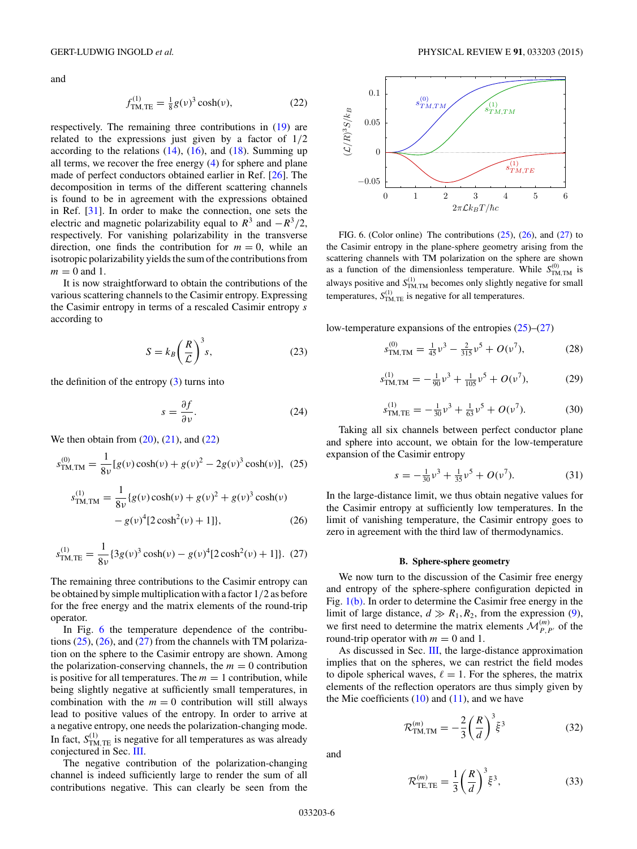<span id="page-5-0"></span>and

$$
f_{\text{TM,TE}}^{(1)} = \frac{1}{8}g(\nu)^3 \cosh(\nu),\tag{22}
$$

respectively. The remaining three contributions in [\(19\)](#page-4-0) are related to the expressions just given by a factor of 1*/*2 according to the relations  $(14)$ ,  $(16)$ , and  $(18)$ . Summing up all terms, we recover the free energy [\(4\)](#page-2-0) for sphere and plane made of perfect conductors obtained earlier in Ref. [\[26\]](#page-9-0). The decomposition in terms of the different scattering channels is found to be in agreement with the expressions obtained in Ref. [\[31\]](#page-9-0). In order to make the connection, one sets the electric and magnetic polarizability equal to  $R^3$  and  $-R^3/2$ , respectively. For vanishing polarizability in the transverse direction, one finds the contribution for  $m = 0$ , while an isotropic polarizability yields the sum of the contributions from  $m = 0$  and 1.

It is now straightforward to obtain the contributions of the various scattering channels to the Casimir entropy. Expressing the Casimir entropy in terms of a rescaled Casimir entropy *s* according to

$$
S = k_B \left(\frac{R}{\mathcal{L}}\right)^3 s,\tag{23}
$$

the definition of the entropy  $(3)$  turns into

$$
s = \frac{\partial f}{\partial \nu}.\tag{24}
$$

We then obtain from  $(20)$ ,  $(21)$ , and  $(22)$ 

$$
s_{\text{TM,TM}}^{(0)} = \frac{1}{8\nu} [g(\nu)\cosh(\nu) + g(\nu)^2 - 2g(\nu)^3 \cosh(\nu)], (25)
$$

$$
s_{\text{TM,TM}}^{(1)} = \frac{1}{8\nu} \{g(\nu)\cosh(\nu) + g(\nu)^2 + g(\nu)^3 \cosh(\nu) - g(\nu)^4 [2\cosh^2(\nu) + 1] \},\tag{26}
$$

$$
s_{\text{TM,TE}}^{(1)} = \frac{1}{8\nu} \{3g(\nu)^3 \cosh(\nu) - g(\nu)^4 [2\cosh^2(\nu) + 1]\}. \tag{27}
$$

The remaining three contributions to the Casimir entropy can be obtained by simple multiplication with a factor 1*/*2 as before for the free energy and the matrix elements of the round-trip operator.

In Fig. 6 the temperature dependence of the contributions  $(25)$ ,  $(26)$ , and  $(27)$  from the channels with TM polarization on the sphere to the Casimir entropy are shown. Among the polarization-conserving channels, the  $m = 0$  contribution is positive for all temperatures. The  $m = 1$  contribution, while being slightly negative at sufficiently small temperatures, in combination with the  $m = 0$  contribution will still always lead to positive values of the entropy. In order to arrive at a negative entropy, one needs the polarization-changing mode. In fact,  $S_{\text{TM,TE}}^{(1)}$  is negative for all temperatures as was already conjectured in Sec. [III.](#page-3-0)

The negative contribution of the polarization-changing channel is indeed sufficiently large to render the sum of all contributions negative. This can clearly be seen from the



FIG. 6. (Color online) The contributions  $(25)$ ,  $(26)$ , and  $(27)$  to the Casimir entropy in the plane-sphere geometry arising from the scattering channels with TM polarization on the sphere are shown as a function of the dimensionless temperature. While  $S_{\text{TM,TM}}^{(0)}$  is always positive and  $S_{\text{TM,TM}}^{(1)}$  becomes only slightly negative for small temperatures,  $S_{\text{TM,TE}}^{(1)}$  is negative for all temperatures.

low-temperature expansions of the entropies (25)–(27)

$$
s_{\text{TM,TM}}^{(0)} = \frac{1}{45}v^3 - \frac{2}{315}v^5 + O(v^7),\tag{28}
$$

$$
s_{\text{TM,TM}}^{(1)} = -\frac{1}{90}v^3 + \frac{1}{105}v^5 + O(v^7),\tag{29}
$$

$$
s_{\text{TM,TE}}^{(1)} = -\frac{1}{30}v^3 + \frac{1}{63}v^5 + O(v^7). \tag{30}
$$

Taking all six channels between perfect conductor plane and sphere into account, we obtain for the low-temperature expansion of the Casimir entropy

$$
s = -\frac{1}{30}\nu^3 + \frac{1}{35}\nu^5 + O(\nu^7). \tag{31}
$$

In the large-distance limit, we thus obtain negative values for the Casimir entropy at sufficiently low temperatures. In the limit of vanishing temperature, the Casimir entropy goes to zero in agreement with the third law of thermodynamics.

#### **B. Sphere-sphere geometry**

We now turn to the discussion of the Casimir free energy and entropy of the sphere-sphere configuration depicted in Fig. [1\(b\).](#page-1-0) In order to determine the Casimir free energy in the limit of large distance,  $d \gg R_1, R_2$ , from the expression [\(9\)](#page-3-0), we first need to determine the matrix elements  $\mathcal{M}_{P,P'}^{(m)}$  of the round-trip operator with  $m = 0$  and 1.

As discussed in Sec. [III,](#page-3-0) the large-distance approximation implies that on the spheres, we can restrict the field modes to dipole spherical waves,  $\ell = 1$ . For the spheres, the matrix elements of the reflection operators are thus simply given by the Mie coefficients  $(10)$  and  $(11)$ , and we have

$$
\mathcal{R}^{(m)}_{\text{TM,TM}} = -\frac{2}{3} \left( \frac{R}{d} \right)^3 \tilde{\xi}^3 \tag{32}
$$

and

$$
\mathcal{R}_{\text{TE,TE}}^{(m)} = \frac{1}{3} \left(\frac{R}{d}\right)^3 \tilde{\xi}^3,\tag{33}
$$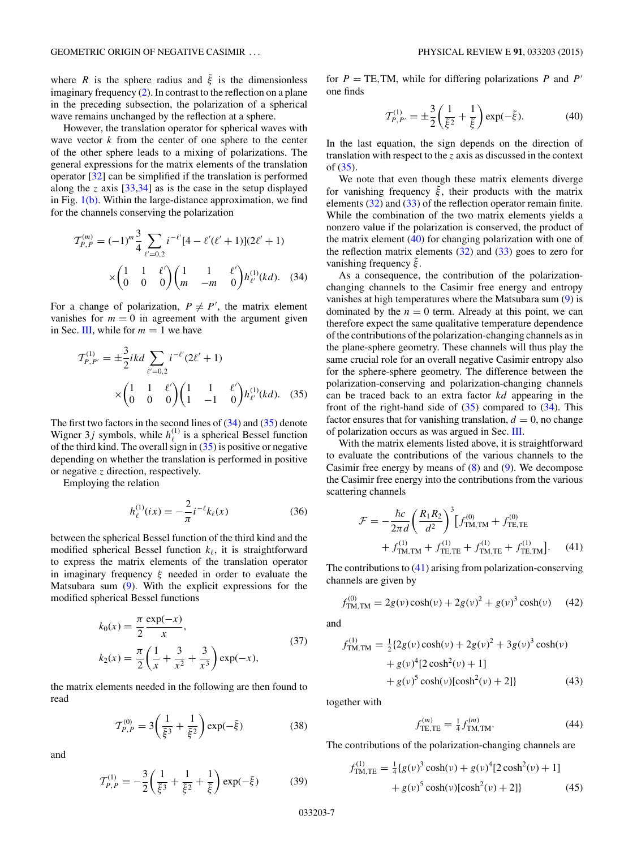where *R* is the sphere radius and  $\tilde{\xi}$  is the dimensionless imaginary frequency [\(2\)](#page-1-0). In contrast to the reflection on a plane in the preceding subsection, the polarization of a spherical wave remains unchanged by the reflection at a sphere.

However, the translation operator for spherical waves with wave vector *k* from the center of one sphere to the center of the other sphere leads to a mixing of polarizations. The general expressions for the matrix elements of the translation operator [\[32\]](#page-9-0) can be simplified if the translation is performed along the *z* axis [\[33,34\]](#page-9-0) as is the case in the setup displayed in Fig.  $1(b)$ . Within the large-distance approximation, we find for the channels conserving the polarization

$$
\mathcal{T}_{P,P}^{(m)} = (-1)^m \frac{3}{4} \sum_{\ell'=0,2} i^{-\ell'} [4 - \ell'(\ell'+1)] (2\ell' + 1)
$$

$$
\times \begin{pmatrix} 1 & 1 & \ell' \\ 0 & 0 & 0 \end{pmatrix} \begin{pmatrix} 1 & 1 & \ell' \\ m & -m & 0 \end{pmatrix} h_{\ell'}^{(1)}(kd). \quad (34)
$$

For a change of polarization,  $P \neq P'$ , the matrix element vanishes for  $m = 0$  in agreement with the argument given in Sec. [III,](#page-3-0) while for  $m = 1$  we have

$$
\mathcal{T}_{P,P'}^{(1)} = \pm \frac{3}{2} ikd \sum_{\ell'=0,2} i^{-\ell'} (2\ell' + 1)
$$

$$
\times \begin{pmatrix} 1 & 1 & \ell' \\ 0 & 0 & 0 \end{pmatrix} \begin{pmatrix} 1 & 1 & \ell' \\ 1 & -1 & 0 \end{pmatrix} h_{\ell'}^{(1)}(kd). \quad (35)
$$

The first two factors in the second lines of  $(34)$  and  $(35)$  denote Wigner 3*j* symbols, while  $h_{\ell}^{(1)}$  is a spherical Bessel function of the third kind. The overall sign in  $(35)$  is positive or negative depending on whether the translation is performed in positive or negative *z* direction, respectively.

Employing the relation

$$
h_{\ell}^{(1)}(ix) = -\frac{2}{\pi} i^{-\ell} k_{\ell}(x)
$$
\n(36)

between the spherical Bessel function of the third kind and the modified spherical Bessel function  $k_{\ell}$ , it is straightforward to express the matrix elements of the translation operator in imaginary frequency *ξ* needed in order to evaluate the Matsubara sum [\(9\)](#page-3-0). With the explicit expressions for the modified spherical Bessel functions

$$
k_0(x) = \frac{\pi}{2} \frac{\exp(-x)}{x},
$$
  
\n
$$
k_2(x) = \frac{\pi}{2} \left( \frac{1}{x} + \frac{3}{x^2} + \frac{3}{x^3} \right) \exp(-x),
$$
\n(37)

the matrix elements needed in the following are then found to read

$$
T_{P,P}^{(0)} = 3\left(\frac{1}{\tilde{\xi}^3} + \frac{1}{\tilde{\xi}^2}\right) \exp(-\tilde{\xi})
$$
 (38)

and

$$
\mathcal{T}_{P,P}^{(1)} = -\frac{3}{2} \left( \frac{1}{\tilde{\xi}^3} + \frac{1}{\tilde{\xi}^2} + \frac{1}{\tilde{\xi}} \right) \exp(-\tilde{\xi}) \tag{39}
$$

for  $P = \text{TE, TM}$ , while for differing polarizations  $P$  and  $P'$ one finds

$$
\mathcal{T}_{P,P'}^{(1)} = \pm \frac{3}{2} \left( \frac{1}{\tilde{\xi}^2} + \frac{1}{\tilde{\xi}} \right) \exp(-\tilde{\xi}).\tag{40}
$$

In the last equation, the sign depends on the direction of translation with respect to the *z* axis as discussed in the context of (35).

We note that even though these matrix elements diverge for vanishing frequency  $\xi$ , their products with the matrix elements [\(32\)](#page-5-0) and [\(33\)](#page-5-0) of the reflection operator remain finite. While the combination of the two matrix elements yields a nonzero value if the polarization is conserved, the product of the matrix element (40) for changing polarization with one of the reflection matrix elements  $(32)$  and  $(33)$  goes to zero for vanishing frequency *ξ*˜.

As a consequence, the contribution of the polarizationchanging channels to the Casimir free energy and entropy vanishes at high temperatures where the Matsubara sum [\(9\)](#page-3-0) is dominated by the  $n = 0$  term. Already at this point, we can therefore expect the same qualitative temperature dependence of the contributions of the polarization-changing channels as in the plane-sphere geometry. These channels will thus play the same crucial role for an overall negative Casimir entropy also for the sphere-sphere geometry. The difference between the polarization-conserving and polarization-changing channels can be traced back to an extra factor *kd* appearing in the front of the right-hand side of  $(35)$  compared to  $(34)$ . This factor ensures that for vanishing translation,  $d = 0$ , no change of polarization occurs as was argued in Sec. [III.](#page-3-0)

With the matrix elements listed above, it is straightforward to evaluate the contributions of the various channels to the Casimir free energy by means of  $(8)$  and  $(9)$ . We decompose the Casimir free energy into the contributions from the various scattering channels

$$
\mathcal{F} = -\frac{\hbar c}{2\pi d} \left(\frac{R_1 R_2}{d^2}\right)^3 \left[f_{\text{TM,TM}}^{(0)} + f_{\text{TE,TE}}^{(0)} + f_{\text{TM,TM}}^{(1)} + f_{\text{TE,TE}}^{(1)} + f_{\text{TE,TE}}^{(1)} + f_{\text{TE,TE}}^{(1)} + f_{\text{TE,TM}}^{(1)}\right].
$$
 (41)

The contributions to (41) arising from polarization-conserving channels are given by

$$
f_{\text{TM,TM}}^{(0)} = 2g(v)\cosh(v) + 2g(v)^{2} + g(v)^{3}\cosh(v) \quad (42)
$$

and

$$
f_{\text{TM,TM}}^{(1)} = \frac{1}{2} \{ 2g(v) \cosh(v) + 2g(v)^2 + 3g(v)^3 \cosh(v) + g(v)^4 [2 \cosh^2(v) + 1] + g(v)^5 \cosh(v) [\cosh^2(v) + 2] \}
$$
(43)

together with

$$
f_{\text{TE,TE}}^{(m)} = \frac{1}{4} f_{\text{TM,TM}}^{(m)}.
$$
 (44)

The contributions of the polarization-changing channels are

$$
f_{\text{TM,TE}}^{(1)} = \frac{1}{4} \{ g(v)^3 \cosh(v) + g(v)^4 [2 \cosh^2(v) + 1] + g(v)^5 \cosh(v) [\cosh^2(v) + 2] \}
$$
(45)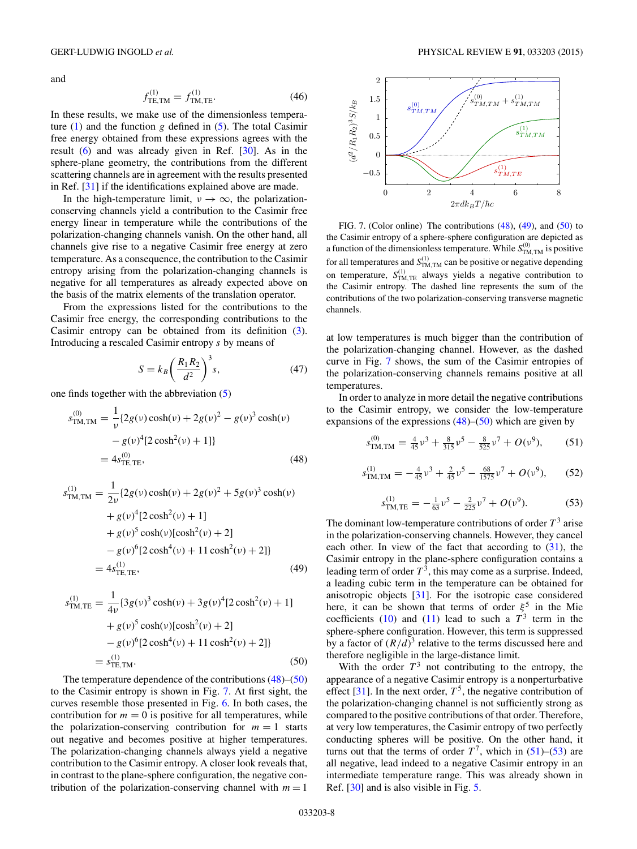<span id="page-7-0"></span>and

$$
f_{\text{TE,TM}}^{(1)} = f_{\text{TM,TE}}^{(1)}.\tag{46}
$$

In these results, we make use of the dimensionless temperature  $(1)$  and the function *g* defined in  $(5)$ . The total Casimir free energy obtained from these expressions agrees with the result  $(6)$  and was already given in Ref.  $[30]$ . As in the sphere-plane geometry, the contributions from the different scattering channels are in agreement with the results presented in Ref. [\[31\]](#page-9-0) if the identifications explained above are made.

In the high-temperature limit,  $v \rightarrow \infty$ , the polarizationconserving channels yield a contribution to the Casimir free energy linear in temperature while the contributions of the polarization-changing channels vanish. On the other hand, all channels give rise to a negative Casimir free energy at zero temperature. As a consequence, the contribution to the Casimir entropy arising from the polarization-changing channels is negative for all temperatures as already expected above on the basis of the matrix elements of the translation operator.

From the expressions listed for the contributions to the Casimir free energy, the corresponding contributions to the Casimir entropy can be obtained from its definition [\(3\)](#page-2-0). Introducing a rescaled Casimir entropy *s* by means of

$$
S = k_B \left(\frac{R_1 R_2}{d^2}\right)^3 s,\tag{47}
$$

one finds together with the abbreviation [\(5\)](#page-2-0)

$$
s_{\text{TM,TM}}^{(0)} = \frac{1}{\nu} \{ 2g(\nu) \cosh(\nu) + 2g(\nu)^2 - g(\nu)^3 \cosh(\nu) - g(\nu)^4 [2 \cosh^2(\nu) + 1] \}
$$
  
=  $4s_{\text{TE,TE}}^{(0)}$ , (48)

$$
s_{\text{TM,TM}}^{(1)} = \frac{1}{2\nu} \{ 2g(\nu) \cosh(\nu) + 2g(\nu)^2 + 5g(\nu)^3 \cosh(\nu) + g(\nu)^4 [2 \cosh^2(\nu) + 1] + g(\nu)^5 \cosh(\nu) [\cosh^2(\nu) + 2] - g(\nu)^6 [2 \cosh^4(\nu) + 11 \cosh^2(\nu) + 2] \} = 4s_{\text{TE,TE}}^{(1)},
$$
(49)

$$
s_{\text{TM,TE}}^{(1)} = \frac{1}{4\nu} \{3g(\nu)^3 \cosh(\nu) + 3g(\nu)^4 [2\cosh^2(\nu) + 1] + g(\nu)^5 \cosh(\nu) [\cosh^2(\nu) + 2] - g(\nu)^6 [2\cosh^4(\nu) + 11\cosh^2(\nu) + 2] \}
$$
  
=  $s_{\text{TE,TM}}^{(1)}$ . (50)

The temperature dependence of the contributions (48)–(50) to the Casimir entropy is shown in Fig. 7. At first sight, the curves resemble those presented in Fig. [6.](#page-5-0) In both cases, the contribution for  $m = 0$  is positive for all temperatures, while the polarization-conserving contribution for  $m = 1$  starts out negative and becomes positive at higher temperatures. The polarization-changing channels always yield a negative contribution to the Casimir entropy. A closer look reveals that, in contrast to the plane-sphere configuration, the negative contribution of the polarization-conserving channel with  $m = 1$ 



FIG. 7. (Color online) The contributions (48), (49), and (50) to the Casimir entropy of a sphere-sphere configuration are depicted as a function of the dimensionless temperature. While  $S_{\text{TM,TM}}^{(0)}$  is positive for all temperatures and  $S_{\text{TM,TM}}^{(1)}$  can be positive or negative depending on temperature,  $S_{\text{TM,TE}}^{(1)}$  always yields a negative contribution to the Casimir entropy. The dashed line represents the sum of the contributions of the two polarization-conserving transverse magnetic channels.

at low temperatures is much bigger than the contribution of the polarization-changing channel. However, as the dashed curve in Fig. 7 shows, the sum of the Casimir entropies of the polarization-conserving channels remains positive at all temperatures.

In order to analyze in more detail the negative contributions to the Casimir entropy, we consider the low-temperature expansions of the expressions  $(48)$ – $(50)$  which are given by

*s*

$$
s_{\text{TM,TM}}^{(0)} = \frac{4}{45}v^3 + \frac{8}{315}v^5 - \frac{8}{525}v^7 + O(v^9),\tag{51}
$$

$$
S_{\text{TM,TM}}^{(1)} = -\frac{4}{45} \nu^3 + \frac{2}{45} \nu^5 - \frac{68}{1575} \nu^7 + O(\nu^9), \quad (52)
$$

$$
s_{\text{TM,TE}}^{(1)} = -\frac{1}{63} \nu^5 - \frac{2}{225} \nu^7 + O(\nu^9). \tag{53}
$$

The dominant low-temperature contributions of order  $T<sup>3</sup>$  arise in the polarization-conserving channels. However, they cancel each other. In view of the fact that according to  $(31)$ , the Casimir entropy in the plane-sphere configuration contains a leading term of order  $T^3$ , this may come as a surprise. Indeed, a leading cubic term in the temperature can be obtained for anisotropic objects [\[31\]](#page-9-0). For the isotropic case considered here, it can be shown that terms of order  $\xi^5$  in the Mie coefficients [\(10\)](#page-4-0) and [\(11\)](#page-4-0) lead to such a  $T^3$  term in the sphere-sphere configuration. However, this term is suppressed by a factor of  $(R/d)^3$  relative to the terms discussed here and therefore negligible in the large-distance limit.

With the order  $T^3$  not contributing to the entropy, the appearance of a negative Casimir entropy is a nonperturbative effect  $[31]$ . In the next order,  $T^5$ , the negative contribution of the polarization-changing channel is not sufficiently strong as compared to the positive contributions of that order. Therefore, at very low temperatures, the Casimir entropy of two perfectly conducting spheres will be positive. On the other hand, it turns out that the terms of order  $T^7$ , which in (51)–(53) are all negative, lead indeed to a negative Casimir entropy in an intermediate temperature range. This was already shown in Ref. [\[30\]](#page-9-0) and is also visible in Fig. [5.](#page-3-0)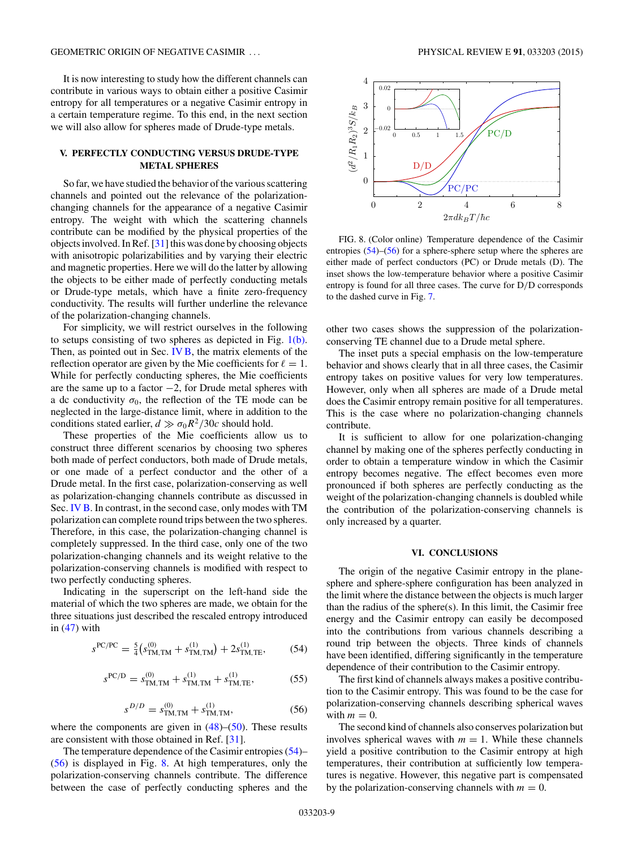<span id="page-8-0"></span>It is now interesting to study how the different channels can contribute in various ways to obtain either a positive Casimir entropy for all temperatures or a negative Casimir entropy in a certain temperature regime. To this end, in the next section we will also allow for spheres made of Drude-type metals.

# **V. PERFECTLY CONDUCTING VERSUS DRUDE-TYPE METAL SPHERES**

So far, we have studied the behavior of the various scattering channels and pointed out the relevance of the polarizationchanging channels for the appearance of a negative Casimir entropy. The weight with which the scattering channels contribute can be modified by the physical properties of the objects involved. In Ref. [\[31\]](#page-9-0) this was done by choosing objects with anisotropic polarizabilities and by varying their electric and magnetic properties. Here we will do the latter by allowing the objects to be either made of perfectly conducting metals or Drude-type metals, which have a finite zero-frequency conductivity. The results will further underline the relevance of the polarization-changing channels.

For simplicity, we will restrict ourselves in the following to setups consisting of two spheres as depicted in Fig. [1\(b\).](#page-1-0) Then, as pointed out in Sec. [IV B,](#page-5-0) the matrix elements of the reflection operator are given by the Mie coefficients for  $\ell = 1$ . While for perfectly conducting spheres, the Mie coefficients are the same up to a factor −2, for Drude metal spheres with a dc conductivity  $\sigma_0$ , the reflection of the TE mode can be neglected in the large-distance limit, where in addition to the conditions stated earlier,  $d \gg \sigma_0 R^2/30c$  should hold.

These properties of the Mie coefficients allow us to construct three different scenarios by choosing two spheres both made of perfect conductors, both made of Drude metals, or one made of a perfect conductor and the other of a Drude metal. In the first case, polarization-conserving as well as polarization-changing channels contribute as discussed in Sec. [IV B.](#page-5-0) In contrast, in the second case, only modes with TM polarization can complete round trips between the two spheres. Therefore, in this case, the polarization-changing channel is completely suppressed. In the third case, only one of the two polarization-changing channels and its weight relative to the polarization-conserving channels is modified with respect to two perfectly conducting spheres.

Indicating in the superscript on the left-hand side the material of which the two spheres are made, we obtain for the three situations just described the rescaled entropy introduced in  $(47)$  with

$$
s^{PC/PC} = \frac{5}{4} \left( s_{\text{TM,TM}}^{(0)} + s_{\text{TM,TM}}^{(1)} \right) + 2s_{\text{TM,TE}}^{(1)},\tag{54}
$$

$$
s^{PC/D} = s_{\text{TM,TM}}^{(0)} + s_{\text{TM,TM}}^{(1)} + s_{\text{TM,TE}}^{(1)},\tag{55}
$$

$$
s^{D/D} = s_{\text{TM,TM}}^{(0)} + s_{\text{TM,TM}}^{(1)},\tag{56}
$$

where the components are given in  $(48)$ – $(50)$ . These results are consistent with those obtained in Ref. [\[31\]](#page-9-0).

The temperature dependence of the Casimir entropies (54)– (56) is displayed in Fig. 8. At high temperatures, only the polarization-conserving channels contribute. The difference between the case of perfectly conducting spheres and the



FIG. 8. (Color online) Temperature dependence of the Casimir entropies (54)–(56) for a sphere-sphere setup where the spheres are either made of perfect conductors (PC) or Drude metals (D). The inset shows the low-temperature behavior where a positive Casimir entropy is found for all three cases. The curve for D*/*D corresponds to the dashed curve in Fig. [7.](#page-7-0)

other two cases shows the suppression of the polarizationconserving TE channel due to a Drude metal sphere.

The inset puts a special emphasis on the low-temperature behavior and shows clearly that in all three cases, the Casimir entropy takes on positive values for very low temperatures. However, only when all spheres are made of a Drude metal does the Casimir entropy remain positive for all temperatures. This is the case where no polarization-changing channels contribute.

It is sufficient to allow for one polarization-changing channel by making one of the spheres perfectly conducting in order to obtain a temperature window in which the Casimir entropy becomes negative. The effect becomes even more pronounced if both spheres are perfectly conducting as the weight of the polarization-changing channels is doubled while the contribution of the polarization-conserving channels is only increased by a quarter.

### **VI. CONCLUSIONS**

The origin of the negative Casimir entropy in the planesphere and sphere-sphere configuration has been analyzed in the limit where the distance between the objects is much larger than the radius of the sphere(s). In this limit, the Casimir free energy and the Casimir entropy can easily be decomposed into the contributions from various channels describing a round trip between the objects. Three kinds of channels have been identified, differing significantly in the temperature dependence of their contribution to the Casimir entropy.

The first kind of channels always makes a positive contribution to the Casimir entropy. This was found to be the case for polarization-conserving channels describing spherical waves with  $m = 0$ .

The second kind of channels also conserves polarization but involves spherical waves with  $m = 1$ . While these channels yield a positive contribution to the Casimir entropy at high temperatures, their contribution at sufficiently low temperatures is negative. However, this negative part is compensated by the polarization-conserving channels with  $m = 0$ .